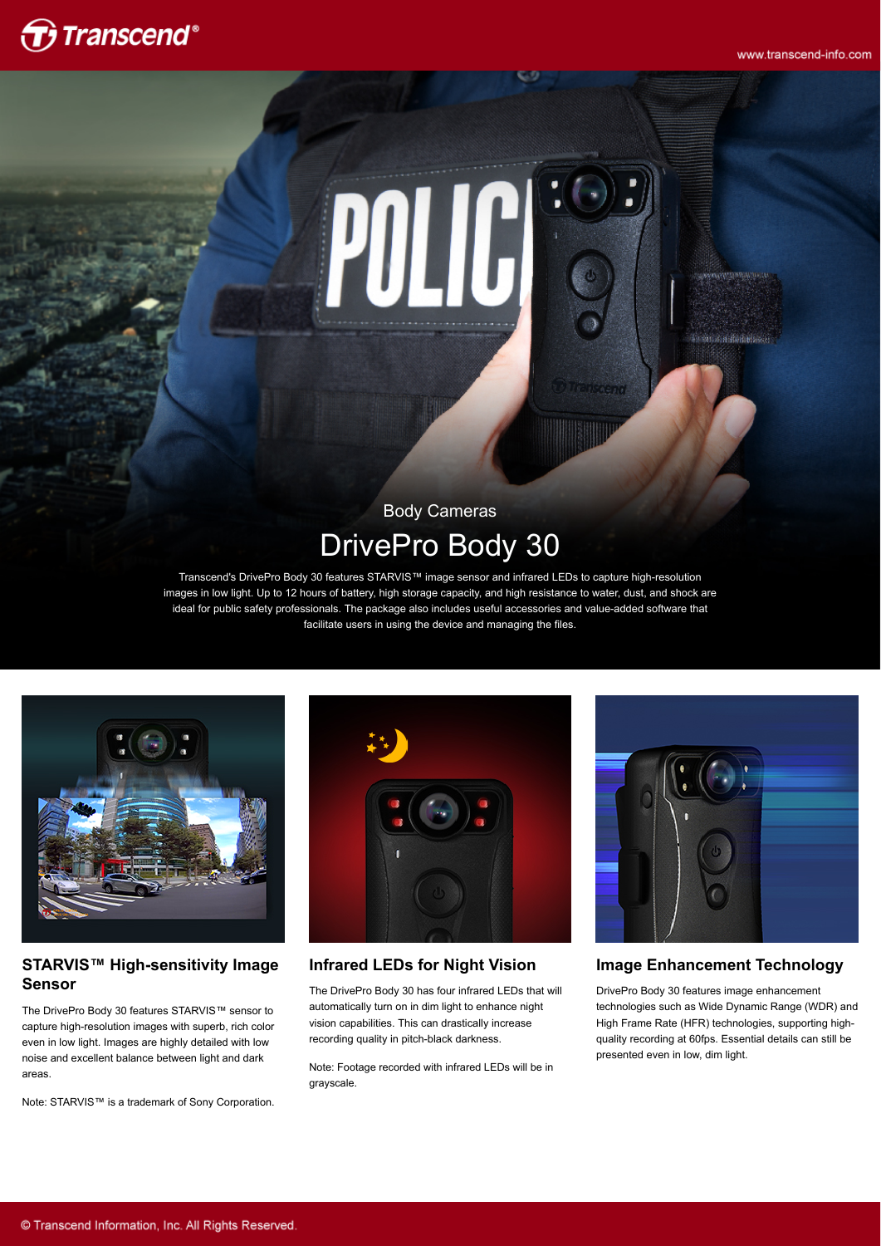www.transcend-info.com

# $\bigoplus$  Transcend®



# Body Cameras DrivePro Body 30

Transcend's DrivePro Body 30 features STARVIS™ image sensor and infrared LEDs to capture high-resolution images in low light. Up to 12 hours of battery, high storage capacity, and high resistance to water, dust, and shock are ideal for public safety professionals. The package also includes useful accessories and value-added software that facilitate users in using the device and managing the files.



#### **STARVIS™ High-sensitivity Image Sensor**

The DrivePro Body 30 features STARVIS™ sensor to capture high-resolution images with superb, rich color even in low light. Images are highly detailed with low noise and excellent balance between light and dark areas.

Note: STARVIS™ is a trademark of Sony Corporation.



### **Infrared LEDs for Night Vision**

The DrivePro Body 30 has four infrared LEDs that will automatically turn on in dim light to enhance night vision capabilities. This can drastically increase recording quality in pitch-black darkness.

Note: Footage recorded with infrared LEDs will be in grayscale.



### **Image Enhancement Technology**

DrivePro Body 30 features image enhancement technologies such as Wide Dynamic Range (WDR) and High Frame Rate (HFR) technologies, supporting highquality recording at 60fps. Essential details can still be presented even in low, dim light.